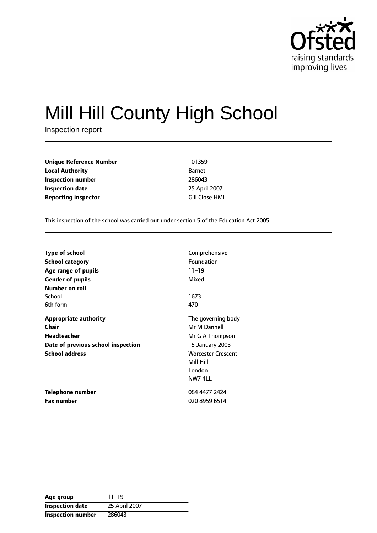

# Mill Hill County High School

Inspection report

**Unique Reference Number** 101359 **Local Authority** Barnet **Inspection number** 286043 **Inspection date** 25 April 2007 **Reporting inspector Cill Close HMI** 

This inspection of the school was carried out under section 5 of the Education Act 2005.

| <b>Type of school</b>              | Comprehensive             |
|------------------------------------|---------------------------|
| <b>School category</b>             | Foundation                |
| Age range of pupils                | $11 - 19$                 |
| <b>Gender of pupils</b>            | Mixed                     |
| Number on roll                     |                           |
| School                             | 1673                      |
| 6th form                           | 470                       |
| <b>Appropriate authority</b>       | The governing body        |
| Chair                              | Mr M Dannell              |
| <b>Headteacher</b>                 | Mr G A Thompson           |
| Date of previous school inspection | 15 January 2003           |
| <b>School address</b>              | <b>Worcester Crescent</b> |
|                                    | Mill Hill                 |
|                                    | London                    |
|                                    | NW7 4LL                   |
| Telephone number                   | 084 4477 2424             |
| <b>Fax number</b>                  | 020 8959 6514             |

| Age group                | $11 - 19$     |
|--------------------------|---------------|
| <b>Inspection date</b>   | 25 April 2007 |
| <b>Inspection number</b> | 286043        |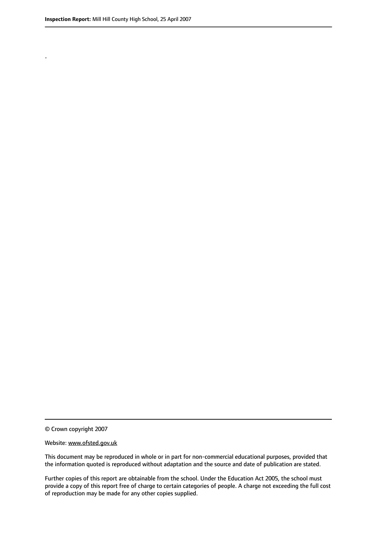.

© Crown copyright 2007

#### Website: www.ofsted.gov.uk

This document may be reproduced in whole or in part for non-commercial educational purposes, provided that the information quoted is reproduced without adaptation and the source and date of publication are stated.

Further copies of this report are obtainable from the school. Under the Education Act 2005, the school must provide a copy of this report free of charge to certain categories of people. A charge not exceeding the full cost of reproduction may be made for any other copies supplied.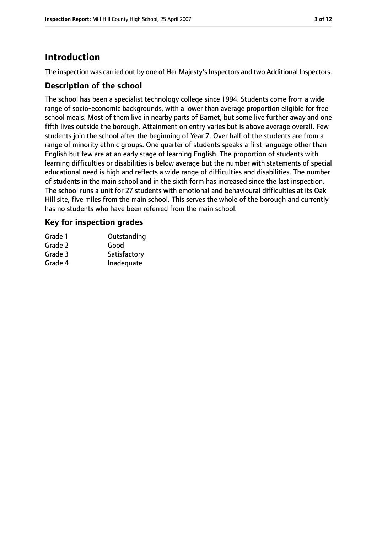# **Introduction**

The inspection was carried out by one of Her Majesty's Inspectors and two Additional Inspectors.

## **Description of the school**

The school has been a specialist technology college since 1994. Students come from a wide range of socio-economic backgrounds, with a lower than average proportion eligible for free school meals. Most of them live in nearby parts of Barnet, but some live further away and one fifth lives outside the borough. Attainment on entry varies but is above average overall. Few students join the school after the beginning of Year 7. Over half of the students are from a range of minority ethnic groups. One quarter of students speaks a first language other than English but few are at an early stage of learning English. The proportion of students with learning difficulties or disabilities is below average but the number with statements of special educational need is high and reflects a wide range of difficulties and disabilities. The number of students in the main school and in the sixth form has increased since the last inspection. The school runs a unit for 27 students with emotional and behavioural difficulties at its Oak Hill site, five miles from the main school. This serves the whole of the borough and currently has no students who have been referred from the main school.

# **Key for inspection grades**

| Grade 1 | Outstanding  |
|---------|--------------|
| Grade 2 | Good         |
| Grade 3 | Satisfactory |
| Grade 4 | Inadequate   |
|         |              |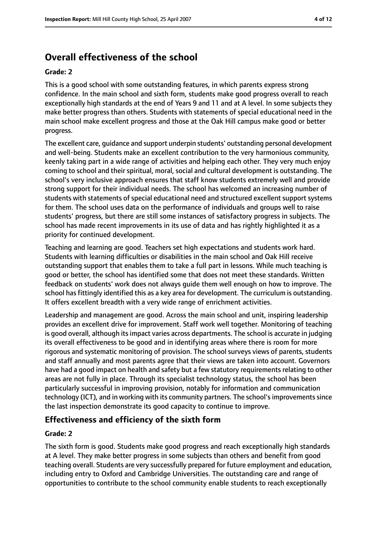# **Overall effectiveness of the school**

#### **Grade: 2**

This is a good school with some outstanding features, in which parents express strong confidence. In the main school and sixth form, students make good progress overall to reach exceptionally high standards at the end of Years 9 and 11 and at A level. In some subjects they make better progress than others. Students with statements of special educational need in the main school make excellent progress and those at the Oak Hill campus make good or better progress.

The excellent care, guidance and support underpin students' outstanding personal development and well-being. Students make an excellent contribution to the very harmonious community, keenly taking part in a wide range of activities and helping each other. They very much enjoy coming to school and their spiritual, moral, social and cultural development is outstanding. The school's very inclusive approach ensures that staff know students extremely well and provide strong support for their individual needs. The school has welcomed an increasing number of students with statements of special educational need and structured excellent support systems for them. The school uses data on the performance of individuals and groups well to raise students' progress, but there are still some instances of satisfactory progress in subjects. The school has made recent improvements in its use of data and has rightly highlighted it as a priority for continued development.

Teaching and learning are good. Teachers set high expectations and students work hard. Students with learning difficulties or disabilities in the main school and Oak Hill receive outstanding support that enables them to take a full part in lessons. While much teaching is good or better, the school has identified some that does not meet these standards. Written feedback on students' work does not always guide them well enough on how to improve. The school has fittingly identified this as a key area for development. The curriculum is outstanding. It offers excellent breadth with a very wide range of enrichment activities.

Leadership and management are good. Across the main school and unit, inspiring leadership provides an excellent drive for improvement. Staff work well together. Monitoring of teaching is good overall, although its impact varies across departments. The school is accurate in judging its overall effectiveness to be good and in identifying areas where there is room for more rigorous and systematic monitoring of provision. The school surveys views of parents, students and staff annually and most parents agree that their views are taken into account. Governors have had a good impact on health and safety but a few statutory requirements relating to other areas are not fully in place. Through its specialist technology status, the school has been particularly successful in improving provision, notably for information and communication technology (ICT), and in working with its community partners. The school'simprovementssince the last inspection demonstrate its good capacity to continue to improve.

# **Effectiveness and efficiency of the sixth form**

## **Grade: 2**

The sixth form is good. Students make good progress and reach exceptionally high standards at A level. They make better progress in some subjects than others and benefit from good teaching overall. Students are very successfully prepared for future employment and education, including entry to Oxford and Cambridge Universities. The outstanding care and range of opportunities to contribute to the school community enable students to reach exceptionally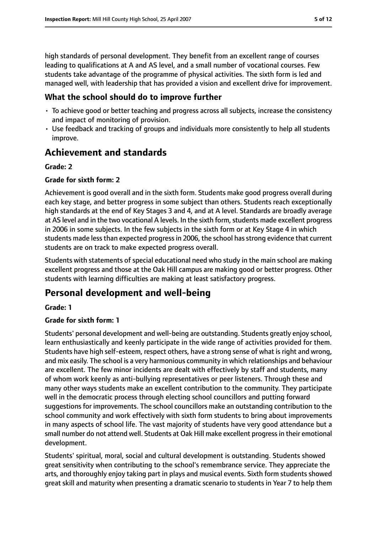high standards of personal development. They benefit from an excellent range of courses leading to qualifications at A and AS level, and a small number of vocational courses. Few students take advantage of the programme of physical activities. The sixth form is led and managed well, with leadership that has provided a vision and excellent drive for improvement.

# **What the school should do to improve further**

- To achieve good or better teaching and progress across all subjects, increase the consistency and impact of monitoring of provision.
- Use feedback and tracking of groups and individuals more consistently to help all students improve.

# **Achievement and standards**

## **Grade: 2**

## **Grade for sixth form: 2**

Achievement is good overall and in the sixth form. Students make good progress overall during each key stage, and better progress in some subject than others. Students reach exceptionally high standards at the end of Key Stages 3 and 4, and at A level. Standards are broadly average at AS level and in the two vocational A levels. In the sixth form, students made excellent progress in 2006 in some subjects. In the few subjects in the sixth form or at Key Stage 4 in which students made less than expected progress in 2006, the school has strong evidence that current students are on track to make expected progress overall.

Students with statements of special educational need who study in the main school are making excellent progress and those at the Oak Hill campus are making good or better progress. Other students with learning difficulties are making at least satisfactory progress.

# **Personal development and well-being**

## **Grade: 1**

## **Grade for sixth form: 1**

Students' personal development and well-being are outstanding. Students greatly enjoy school, learn enthusiastically and keenly participate in the wide range of activities provided for them. Students have high self-esteem, respect others, have a strong sense of what is right and wrong, and mix easily. The school is a very harmonious community in which relationships and behaviour are excellent. The few minor incidents are dealt with effectively by staff and students, many of whom work keenly as anti-bullying representatives or peer listeners. Through these and many other ways students make an excellent contribution to the community. They participate well in the democratic process through electing school councillors and putting forward suggestions for improvements. The school councillors make an outstanding contribution to the school community and work effectively with sixth form students to bring about improvements in many aspects of school life. The vast majority of students have very good attendance but a small number do not attend well. Students at Oak Hill make excellent progressin their emotional development.

Students' spiritual, moral, social and cultural development is outstanding. Students showed great sensitivity when contributing to the school's remembrance service. They appreciate the arts, and thoroughly enjoy taking part in plays and musical events. Sixth form students showed great skill and maturity when presenting a dramatic scenario to students in Year 7 to help them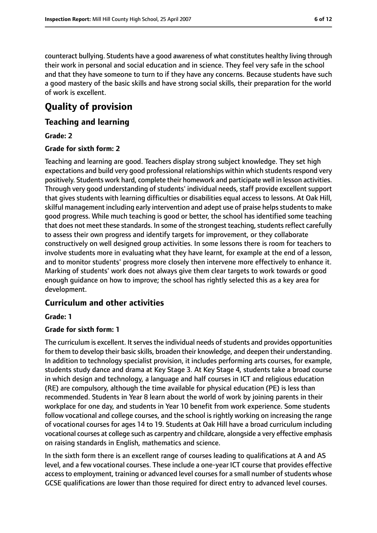counteract bullying. Students have a good awareness of what constitutes healthy living through their work in personal and social education and in science. They feel very safe in the school and that they have someone to turn to if they have any concerns. Because students have such a good mastery of the basic skills and have strong social skills, their preparation for the world of work is excellent.

# **Quality of provision**

## **Teaching and learning**

#### **Grade: 2**

#### **Grade for sixth form: 2**

Teaching and learning are good. Teachers display strong subject knowledge. They set high expectations and build very good professional relationships within which students respond very positively. Students work hard, complete their homework and participate well in lesson activities. Through very good understanding of students' individual needs, staff provide excellent support that gives students with learning difficulties or disabilities equal access to lessons. At Oak Hill, skilful management including early intervention and adept use of praise helps students to make good progress. While much teaching is good or better, the school has identified some teaching that does not meet these standards. In some of the strongest teaching, students reflect carefully to assess their own progress and identify targets for improvement, or they collaborate constructively on well designed group activities. In some lessons there is room for teachers to involve students more in evaluating what they have learnt, for example at the end of a lesson, and to monitor students' progress more closely then intervene more effectively to enhance it. Marking of students' work does not always give them clear targets to work towards or good enough guidance on how to improve; the school has rightly selected this as a key area for development.

# **Curriculum and other activities**

#### **Grade: 1**

## **Grade for sixth form: 1**

The curriculum is excellent. It serves the individual needs of students and provides opportunities for them to develop their basic skills, broaden their knowledge, and deepen their understanding. In addition to technology specialist provision, it includes performing arts courses, for example, students study dance and drama at Key Stage 3. At Key Stage 4, students take a broad course in which design and technology, a language and half courses in ICT and religious education (RE) are compulsory, although the time available for physical education (PE) is less than recommended. Students in Year 8 learn about the world of work by joining parents in their workplace for one day, and students in Year 10 benefit from work experience. Some students follow vocational and college courses, and the school is rightly working on increasing the range of vocational courses for ages 14 to 19. Students at Oak Hill have a broad curriculum including vocational courses at college such as carpentry and childcare, alongside a very effective emphasis on raising standards in English, mathematics and science.

In the sixth form there is an excellent range of courses leading to qualifications at A and AS level, and a few vocational courses. These include a one-year ICT course that provides effective access to employment, training or advanced level courses for a small number of students whose GCSE qualifications are lower than those required for direct entry to advanced level courses.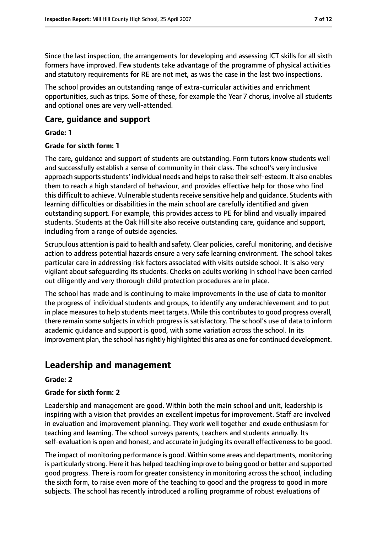Since the last inspection, the arrangements for developing and assessing ICT skills for all sixth formers have improved. Few students take advantage of the programme of physical activities and statutory requirements for RE are not met, as was the case in the last two inspections.

The school provides an outstanding range of extra-curricular activities and enrichment opportunities, such as trips. Some of these, for example the Year 7 chorus, involve all students and optional ones are very well-attended.

## **Care, guidance and support**

#### **Grade: 1**

#### **Grade for sixth form: 1**

The care, guidance and support of students are outstanding. Form tutors know students well and successfully establish a sense of community in their class. The school's very inclusive approach supports students' individual needs and helps to raise their self-esteem. It also enables them to reach a high standard of behaviour, and provides effective help for those who find this difficult to achieve. Vulnerable students receive sensitive help and quidance. Students with learning difficulties or disabilities in the main school are carefully identified and given outstanding support. For example, this provides access to PE for blind and visually impaired students. Students at the Oak Hill site also receive outstanding care, guidance and support, including from a range of outside agencies.

Scrupulous attention is paid to health and safety. Clear policies, careful monitoring, and decisive action to address potential hazards ensure a very safe learning environment. The school takes particular care in addressing risk factors associated with visits outside school. It is also very vigilant about safeguarding its students. Checks on adults working in school have been carried out diligently and very thorough child protection procedures are in place.

The school has made and is continuing to make improvements in the use of data to monitor the progress of individual students and groups, to identify any underachievement and to put in place measures to help students meet targets. While this contributes to good progress overall, there remain some subjects in which progress is satisfactory. The school's use of data to inform academic guidance and support is good, with some variation across the school. In its improvement plan, the school has rightly highlighted this area as one for continued development.

# **Leadership and management**

## **Grade: 2**

## **Grade for sixth form: 2**

Leadership and management are good. Within both the main school and unit, leadership is inspiring with a vision that provides an excellent impetus for improvement. Staff are involved in evaluation and improvement planning. They work well together and exude enthusiasm for teaching and learning. The school surveys parents, teachers and students annually. Its self-evaluation is open and honest, and accurate in judging its overall effectiveness to be good.

The impact of monitoring performance is good. Within some areas and departments, monitoring is particularly strong. Here it has helped teaching improve to being good or better and supported good progress. There is room for greater consistency in monitoring across the school, including the sixth form, to raise even more of the teaching to good and the progress to good in more subjects. The school has recently introduced a rolling programme of robust evaluations of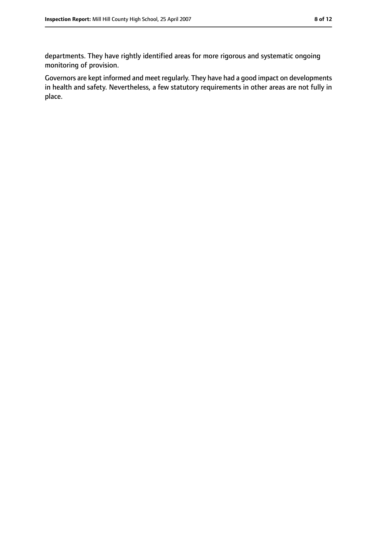departments. They have rightly identified areas for more rigorous and systematic ongoing monitoring of provision.

Governors are kept informed and meet regularly. They have had a good impact on developments in health and safety. Nevertheless, a few statutory requirements in other areas are not fully in place.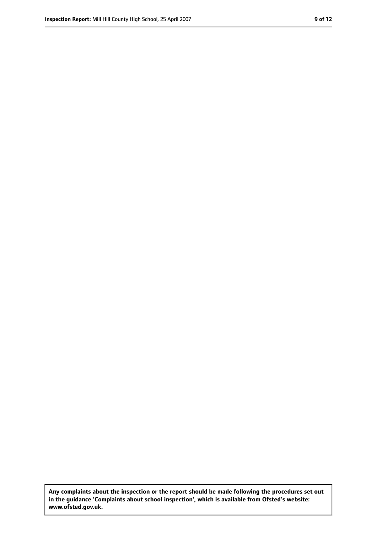**Any complaints about the inspection or the report should be made following the procedures set out in the guidance 'Complaints about school inspection', which is available from Ofsted's website: www.ofsted.gov.uk.**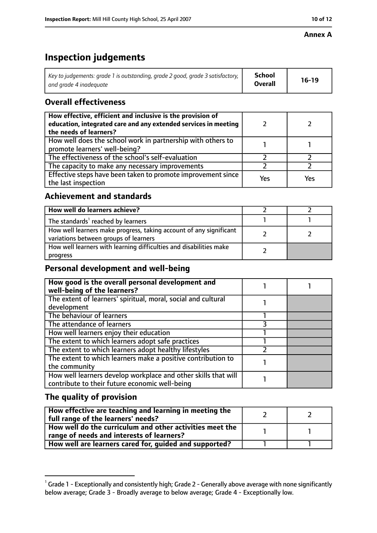# **Inspection judgements**

| Key to judgements: grade 1 is outstanding, grade 2 good, grade 3 satisfactory, $\vert$ | <b>School</b>  | $16-19$ |
|----------------------------------------------------------------------------------------|----------------|---------|
| and grade 4 inadeguate                                                                 | <b>Overall</b> |         |

# **Overall effectiveness**

| How effective, efficient and inclusive is the provision of<br>education, integrated care and any extended services in meeting<br>the needs of learners? |     |     |
|---------------------------------------------------------------------------------------------------------------------------------------------------------|-----|-----|
| How well does the school work in partnership with others to<br>promote learners' well-being?                                                            |     |     |
| The effectiveness of the school's self-evaluation                                                                                                       |     |     |
| The capacity to make any necessary improvements                                                                                                         |     |     |
| Effective steps have been taken to promote improvement since<br>the last inspection                                                                     | Yes | Yes |

# **Achievement and standards**

| How well do learners achieve?                                                                               |  |
|-------------------------------------------------------------------------------------------------------------|--|
| The standards <sup>1</sup> reached by learners                                                              |  |
| How well learners make progress, taking account of any significant<br>variations between groups of learners |  |
| How well learners with learning difficulties and disabilities make<br>progress                              |  |

# **Personal development and well-being**

| How good is the overall personal development and<br>well-being of the learners?                                  |  |
|------------------------------------------------------------------------------------------------------------------|--|
| The extent of learners' spiritual, moral, social and cultural                                                    |  |
| development                                                                                                      |  |
| The behaviour of learners                                                                                        |  |
| The attendance of learners                                                                                       |  |
| How well learners enjoy their education                                                                          |  |
| The extent to which learners adopt safe practices                                                                |  |
| The extent to which learners adopt healthy lifestyles                                                            |  |
| The extent to which learners make a positive contribution to                                                     |  |
| the community                                                                                                    |  |
| How well learners develop workplace and other skills that will<br>contribute to their future economic well-being |  |

# **The quality of provision**

| How effective are teaching and learning in meeting the<br>full range of the learners' needs?          |  |
|-------------------------------------------------------------------------------------------------------|--|
| How well do the curriculum and other activities meet the<br>range of needs and interests of learners? |  |
| How well are learners cared for, guided and supported?                                                |  |

 $^1$  Grade 1 - Exceptionally and consistently high; Grade 2 - Generally above average with none significantly below average; Grade 3 - Broadly average to below average; Grade 4 - Exceptionally low.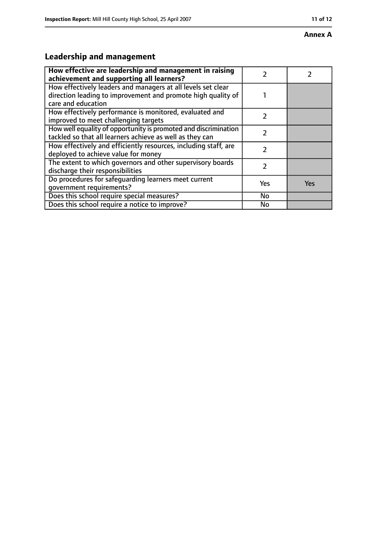#### **Annex A**

# **Leadership and management**

| How effective are leadership and management in raising<br>achievement and supporting all learners?                                                 |           |     |
|----------------------------------------------------------------------------------------------------------------------------------------------------|-----------|-----|
| How effectively leaders and managers at all levels set clear<br>direction leading to improvement and promote high quality of<br>care and education |           |     |
| How effectively performance is monitored, evaluated and<br>improved to meet challenging targets                                                    | 7         |     |
| How well equality of opportunity is promoted and discrimination<br>tackled so that all learners achieve as well as they can                        | 7         |     |
| How effectively and efficiently resources, including staff, are<br>deployed to achieve value for money                                             | 7         |     |
| The extent to which governors and other supervisory boards<br>discharge their responsibilities                                                     |           |     |
| Do procedures for safeguarding learners meet current<br>qovernment requirements?                                                                   | Yes       | Yes |
| Does this school require special measures?                                                                                                         | <b>No</b> |     |
| Does this school require a notice to improve?                                                                                                      | <b>No</b> |     |